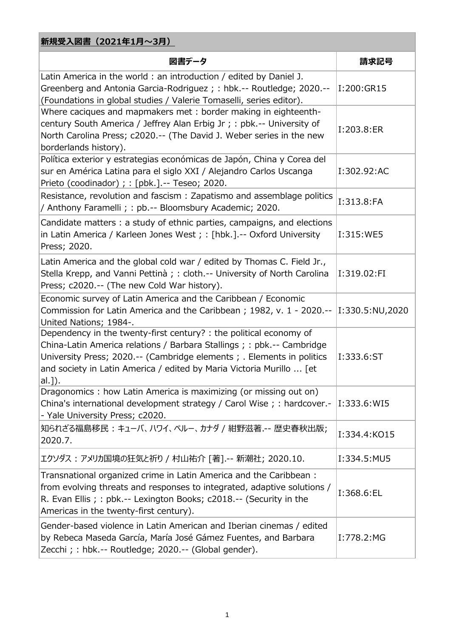| 新規受入図書(2021年1月~3月)                                                                                                                                                                                                                                                                                       |              |
|----------------------------------------------------------------------------------------------------------------------------------------------------------------------------------------------------------------------------------------------------------------------------------------------------------|--------------|
| 図書データ                                                                                                                                                                                                                                                                                                    | 請求記号         |
| Latin America in the world: an introduction / edited by Daniel J.<br>Greenberg and Antonia Garcia-Rodriguez; : hbk.-- Routledge; 2020.--<br>(Foundations in global studies / Valerie Tomaselli, series editor).                                                                                          | I:200:GR15   |
| Where caciques and mapmakers met : border making in eighteenth-<br>century South America / Jeffrey Alan Erbig Jr ; : pbk .-- University of<br>North Carolina Press; c2020.-- (The David J. Weber series in the new<br>borderlands history).                                                              | I:203.8:ER   |
| Política exterior y estrategias económicas de Japón, China y Corea del<br>sur en América Latina para el siglo XXI / Alejandro Carlos Uscanga<br>Prieto (coodinador) ; : [pbk.] .-- Teseo; 2020.                                                                                                          | I:302.92:AC  |
| Resistance, revolution and fascism: Zapatismo and assemblage politics<br>/ Anthony Faramelli ; : pb.-- Bloomsbury Academic; 2020.                                                                                                                                                                        | I:313.8:FA   |
| Candidate matters : a study of ethnic parties, campaigns, and elections<br>in Latin America / Karleen Jones West ; : [hbk.] .-- Oxford University<br>Press; 2020.                                                                                                                                        | I:315:WE5    |
| Latin America and the global cold war / edited by Thomas C. Field Jr.,<br>Stella Krepp, and Vanni Pettinà; : cloth.-- University of North Carolina<br>Press; c2020 .-- (The new Cold War history).                                                                                                       | I:319.02:FI  |
| Economic survey of Latin America and the Caribbean / Economic<br>Commission for Latin America and the Caribbean; 1982, v. 1 - 2020.-- $\vert$ I:330.5:NU,2020<br>United Nations; 1984-.                                                                                                                  |              |
| Dependency in the twenty-first century? : the political economy of<br>China-Latin America relations / Barbara Stallings ; : pbk.-- Cambridge<br>University Press; 2020.-- (Cambridge elements ; . Elements in politics<br>and society in Latin America / edited by Maria Victoria Murillo  [et<br>al.]). | I:333.6:ST   |
| Dragonomics: how Latin America is maximizing (or missing out on)<br>China's international development strategy / Carol Wise ; : hardcover.-<br>- Yale University Press; c2020.                                                                                                                           | I:333.6: WI5 |
| 知られざる福島移民 : キューバ、ハワイ、ペルー、カナダ / 紺野滋著.-- 歴史春秋出版;<br>2020.7.                                                                                                                                                                                                                                                | I:334.4:KO15 |
| エクソダス : アメリカ国境の狂気と祈り / 村山祐介 [著].-- 新潮社; 2020.10.                                                                                                                                                                                                                                                         | I:334.5: MU5 |
| Transnational organized crime in Latin America and the Caribbean:<br>from evolving threats and responses to integrated, adaptive solutions /<br>R. Evan Ellis; : pbk.-- Lexington Books; c2018.-- (Security in the<br>Americas in the twenty-first century).                                             | I:368.6:EL   |
| Gender-based violence in Latin American and Iberian cinemas / edited<br>by Rebeca Maseda García, María José Gámez Fuentes, and Barbara<br>Zecchi ; : hbk.-- Routledge; 2020.-- (Global gender).                                                                                                          | I:778.2:MG   |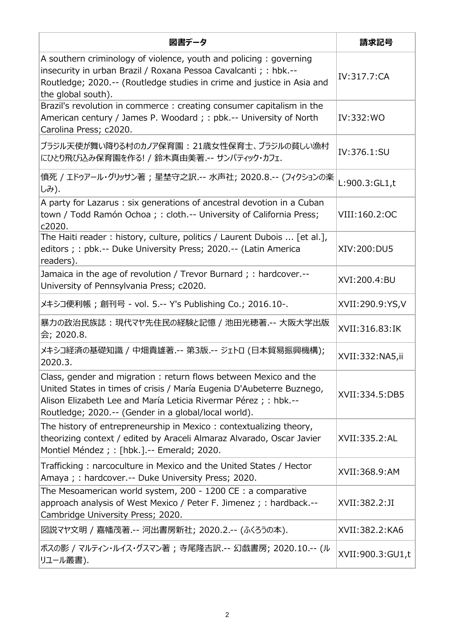| 図書データ                                                                                                                                                                                                                                                                | 請求記号               |
|----------------------------------------------------------------------------------------------------------------------------------------------------------------------------------------------------------------------------------------------------------------------|--------------------|
| A southern criminology of violence, youth and policing: governing<br>insecurity in urban Brazil / Roxana Pessoa Cavalcanti ; : hbk.--<br>Routledge; 2020.-- (Routledge studies in crime and justice in Asia and<br>the global south).                                | IV:317.7:CA        |
| Brazil's revolution in commerce: creating consumer capitalism in the<br>American century / James P. Woodard ; : pbk.-- University of North<br>Carolina Press; c2020.                                                                                                 | IV:332:WO          |
| ブラジル天使が舞い降りる村のカノア保育園 : 21歳女性保育士、ブラジルの貧しい漁村<br>にひとり飛び込み保育園を作る! / 鈴木真由美著.-- サンパティック・カフェ.                                                                                                                                                                               | IV:376.1:SU        |
| 憤死 / エドゥアール・グリッサン著 ; 星埜守之訳 -- 水声社; 2020.8.-- (フィクションの楽<br>しみ).                                                                                                                                                                                                       | L:900.3:GL1,t      |
| A party for Lazarus: six generations of ancestral devotion in a Cuban<br>town / Todd Ramón Ochoa ; : cloth.-- University of California Press;<br>c2020.                                                                                                              | VIII:160.2:OC      |
| The Haiti reader: history, culture, politics / Laurent Dubois  [et al.],<br>editors ; : pbk.-- Duke University Press; 2020.-- (Latin America<br>readers).                                                                                                            | XIV:200:DU5        |
| Jamaica in the age of revolution / Trevor Burnard; : hardcover.--<br>University of Pennsylvania Press; c2020.                                                                                                                                                        | XVI:200.4:BU       |
| メキシコ便利帳; 創刊号 - vol. 5.-- Y's Publishing Co.; 2016.10-.                                                                                                                                                                                                               | XVII:290.9:YS,V    |
| 暴力の政治民族誌 : 現代マヤ先住民の経験と記憶 / 池田光穂著.-- 大阪大学出版<br>会; 2020.8.                                                                                                                                                                                                             | XVII:316.83:IK     |
| メキシコ経済の基礎知識 / 中畑貴雄著.-- 第3版.-- ジェトロ (日本貿易振興機構);<br>2020.3.                                                                                                                                                                                                            | XVII: 332: NA5, ii |
| Class, gender and migration: return flows between Mexico and the<br>United States in times of crisis / María Eugenia D'Aubeterre Buznego,<br>Alison Elizabeth Lee and María Leticia Rivermar Pérez; : hbk.--<br>Routledge; 2020.-- (Gender in a global/local world). | XVII:334.5:DB5     |
| The history of entrepreneurship in Mexico: contextualizing theory,<br>theorizing context / edited by Araceli Almaraz Alvarado, Oscar Javier<br>Montiel Méndez ; : [hbk.] .-- Emerald; 2020.                                                                          | XVII: 335.2: AL    |
| Trafficking: narcoculture in Mexico and the United States / Hector<br>Amaya; : hardcover.-- Duke University Press; 2020.                                                                                                                                             | XVII: 368.9: AM    |
| The Mesoamerican world system, 200 - 1200 CE : a comparative<br>approach analysis of West Mexico / Peter F. Jimenez ; : hardback.--<br>Cambridge University Press; 2020.                                                                                             | XVII:382.2:JI      |
| 図説マヤ文明 / 嘉幡茂著.-- 河出書房新社; 2020.2.-- (ふくろうの本).                                                                                                                                                                                                                         | XVII:382.2:KA6     |
| ボスの影 / マルティン・ルイス・グスマン著 ; 寺尾隆吉訳.-- 幻戯書房; 2020.10.-- (ル<br>リユール叢書).                                                                                                                                                                                                    | XVII:900.3:GU1,t   |